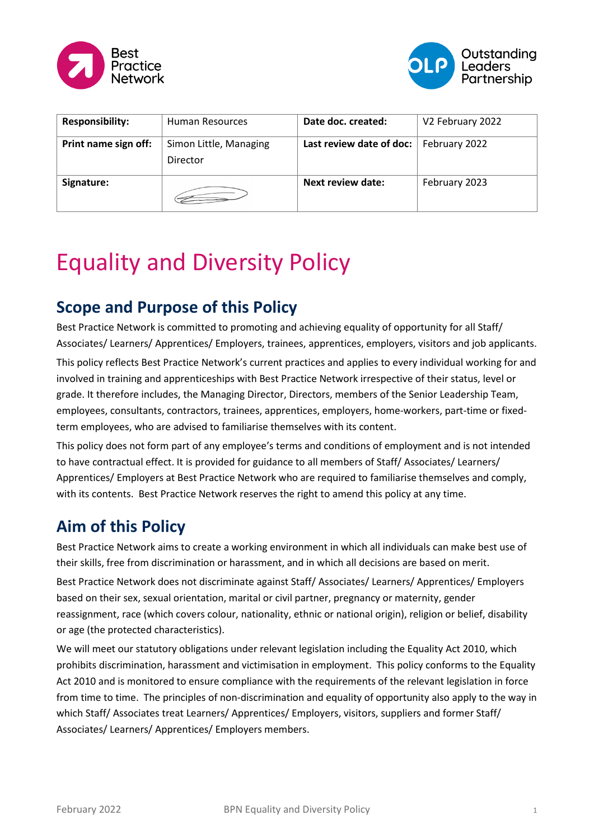



| <b>Responsibility:</b> | <b>Human Resources</b>             | Date doc. created:           | V2 February 2022 |
|------------------------|------------------------------------|------------------------------|------------------|
| Print name sign off:   | Simon Little, Managing<br>Director | Last review date of doc: $ $ | February 2022    |
| Signature:             |                                    | Next review date:            | February 2023    |

# Equality and Diversity Policy

## **Scope and Purpose of this Policy**

Best Practice Network is committed to promoting and achieving equality of opportunity for all Staff/ Associates/ Learners/ Apprentices/ Employers, trainees, apprentices, employers, visitors and job applicants.

This policy reflects Best Practice Network's current practices and applies to every individual working for and involved in training and apprenticeships with Best Practice Network irrespective of their status, level or grade. It therefore includes, the Managing Director, Directors, members of the Senior Leadership Team, employees, consultants, contractors, trainees, apprentices, employers, home-workers, part-time or fixedterm employees, who are advised to familiarise themselves with its content.

This policy does not form part of any employee's terms and conditions of employment and is not intended to have contractual effect. It is provided for guidance to all members of Staff/ Associates/ Learners/ Apprentices/ Employers at Best Practice Network who are required to familiarise themselves and comply, with its contents. Best Practice Network reserves the right to amend this policy at any time.

## **Aim of this Policy**

Best Practice Network aims to create a working environment in which all individuals can make best use of their skills, free from discrimination or harassment, and in which all decisions are based on merit.

Best Practice Network does not discriminate against Staff/ Associates/ Learners/ Apprentices/ Employers based on their sex, sexual orientation, marital or civil partner, pregnancy or maternity, gender reassignment, race (which covers colour, nationality, ethnic or national origin), religion or belief, disability or age (the protected characteristics).

We will meet our statutory obligations under relevant legislation including the Equality Act 2010, which prohibits discrimination, harassment and victimisation in employment. This policy conforms to the Equality Act 2010 and is monitored to ensure compliance with the requirements of the relevant legislation in force from time to time. The principles of non-discrimination and equality of opportunity also apply to the way in which Staff/ Associates treat Learners/ Apprentices/ Employers, visitors, suppliers and former Staff/ Associates/ Learners/ Apprentices/ Employers members.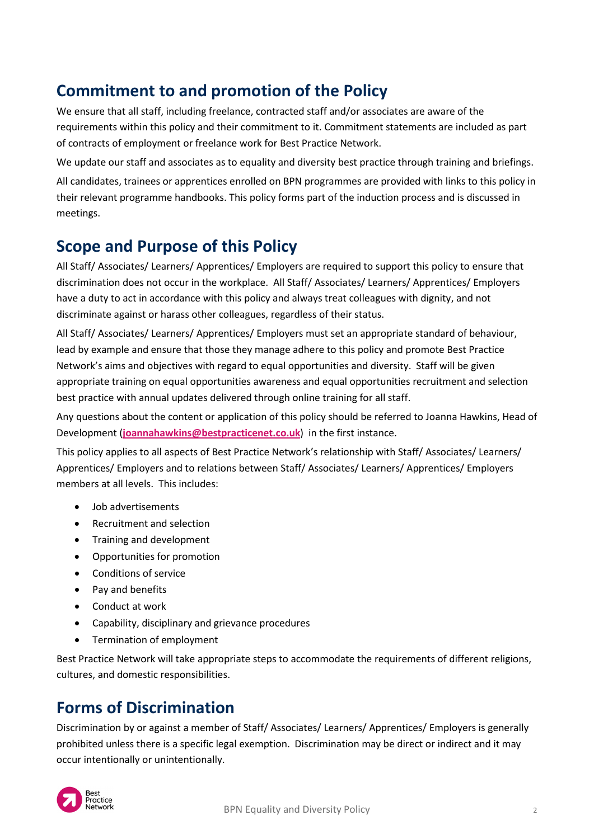# **Commitment to and promotion of the Policy**

We ensure that all staff, including freelance, contracted staff and/or associates are aware of the requirements within this policy and their commitment to it. Commitment statements are included as part of contracts of employment or freelance work for Best Practice Network.

We update our staff and associates as to equality and diversity best practice through training and briefings. All candidates, trainees or apprentices enrolled on BPN programmes are provided with links to this policy in their relevant programme handbooks. This policy forms part of the induction process and is discussed in meetings.

#### **Scope and Purpose of this Policy**

All Staff/ Associates/ Learners/ Apprentices/ Employers are required to support this policy to ensure that discrimination does not occur in the workplace. All Staff/ Associates/ Learners/ Apprentices/ Employers have a duty to act in accordance with this policy and always treat colleagues with dignity, and not discriminate against or harass other colleagues, regardless of their status.

All Staff/ Associates/ Learners/ Apprentices/ Employers must set an appropriate standard of behaviour, lead by example and ensure that those they manage adhere to this policy and promote Best Practice Network's aims and objectives with regard to equal opportunities and diversity. Staff will be given appropriate training on equal opportunities awareness and equal opportunities recruitment and selection best practice with annual updates delivered through online training for all staff.

Any questions about the content or application of this policy should be referred to Joanna Hawkins, Head of Development (**[joannahawkins@bestpracticenet.co.uk](mailto:joannahawkins@bestpracticenet.co.uk)**) in the first instance.

This policy applies to all aspects of Best Practice Network's relationship with Staff/ Associates/ Learners/ Apprentices/ Employers and to relations between Staff/ Associates/ Learners/ Apprentices/ Employers members at all levels. This includes:

- Job advertisements
- Recruitment and selection
- Training and development
- Opportunities for promotion
- Conditions of service
- Pay and benefits
- Conduct at work
- Capability, disciplinary and grievance procedures
- Termination of employment

Best Practice Network will take appropriate steps to accommodate the requirements of different religions, cultures, and domestic responsibilities.

#### **Forms of Discrimination**

Discrimination by or against a member of Staff/ Associates/ Learners/ Apprentices/ Employers is generally prohibited unless there is a specific legal exemption. Discrimination may be direct or indirect and it may occur intentionally or unintentionally.

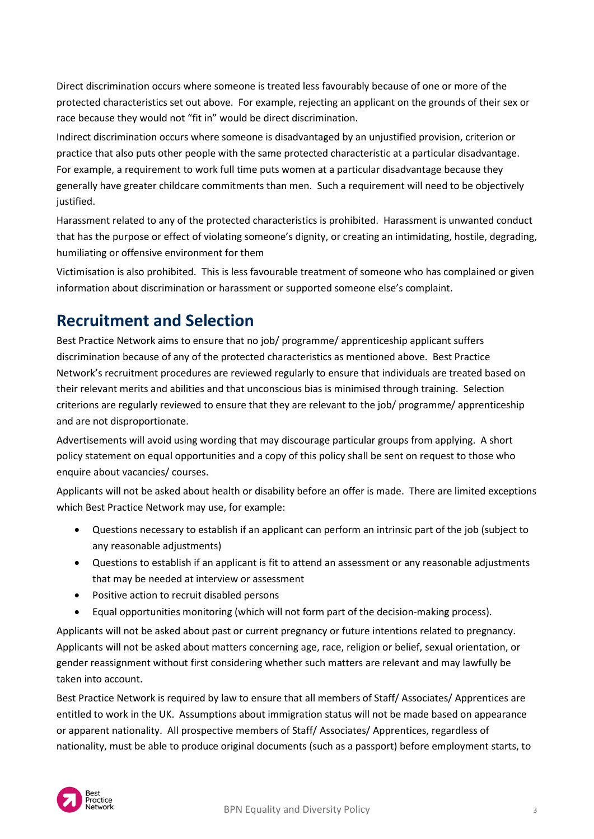Direct discrimination occurs where someone is treated less favourably because of one or more of the protected characteristics set out above. For example, rejecting an applicant on the grounds of their sex or race because they would not "fit in" would be direct discrimination.

Indirect discrimination occurs where someone is disadvantaged by an unjustified provision, criterion or practice that also puts other people with the same protected characteristic at a particular disadvantage. For example, a requirement to work full time puts women at a particular disadvantage because they generally have greater childcare commitments than men. Such a requirement will need to be objectively justified.

Harassment related to any of the protected characteristics is prohibited. Harassment is unwanted conduct that has the purpose or effect of violating someone's dignity, or creating an intimidating, hostile, degrading, humiliating or offensive environment for them

Victimisation is also prohibited. This is less favourable treatment of someone who has complained or given information about discrimination or harassment or supported someone else's complaint.

#### **Recruitment and Selection**

Best Practice Network aims to ensure that no job/ programme/ apprenticeship applicant suffers discrimination because of any of the protected characteristics as mentioned above. Best Practice Network's recruitment procedures are reviewed regularly to ensure that individuals are treated based on their relevant merits and abilities and that unconscious bias is minimised through training. Selection criterions are regularly reviewed to ensure that they are relevant to the job/ programme/ apprenticeship and are not disproportionate.

Advertisements will avoid using wording that may discourage particular groups from applying. A short policy statement on equal opportunities and a copy of this policy shall be sent on request to those who enquire about vacancies/ courses.

Applicants will not be asked about health or disability before an offer is made. There are limited exceptions which Best Practice Network may use, for example:

- Questions necessary to establish if an applicant can perform an intrinsic part of the job (subject to any reasonable adjustments)
- Questions to establish if an applicant is fit to attend an assessment or any reasonable adjustments that may be needed at interview or assessment
- Positive action to recruit disabled persons
- Equal opportunities monitoring (which will not form part of the decision-making process).

Applicants will not be asked about past or current pregnancy or future intentions related to pregnancy. Applicants will not be asked about matters concerning age, race, religion or belief, sexual orientation, or gender reassignment without first considering whether such matters are relevant and may lawfully be taken into account.

Best Practice Network is required by law to ensure that all members of Staff/ Associates/ Apprentices are entitled to work in the UK. Assumptions about immigration status will not be made based on appearance or apparent nationality. All prospective members of Staff/ Associates/ Apprentices, regardless of nationality, must be able to produce original documents (such as a passport) before employment starts, to

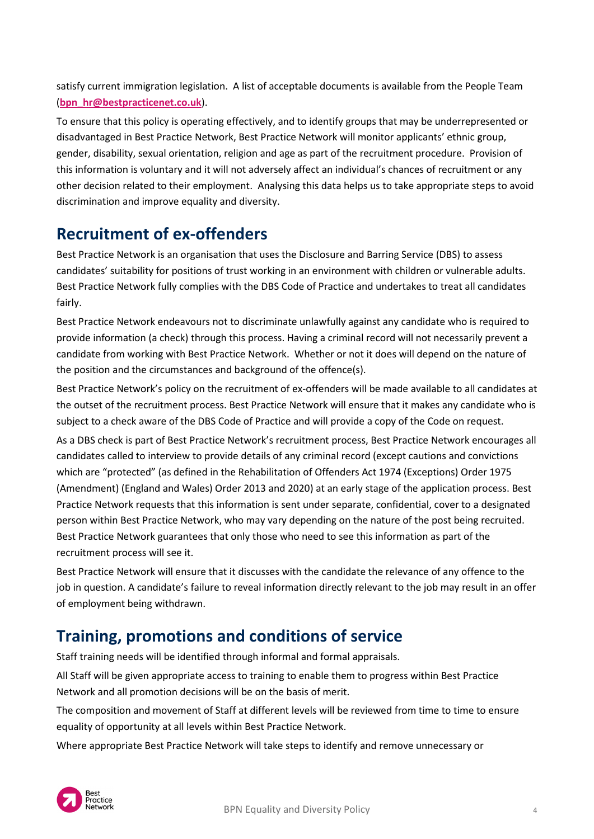satisfy current immigration legislation. A list of acceptable documents is available from the People Team (**[bpn\\_hr@bestpracticenet.co.uk](mailto:bpn_hr@bestpracticenet.co.uk)**).

To ensure that this policy is operating effectively, and to identify groups that may be underrepresented or disadvantaged in Best Practice Network, Best Practice Network will monitor applicants' ethnic group, gender, disability, sexual orientation, religion and age as part of the recruitment procedure. Provision of this information is voluntary and it will not adversely affect an individual's chances of recruitment or any other decision related to their employment. Analysing this data helps us to take appropriate steps to avoid discrimination and improve equality and diversity.

#### **Recruitment of ex-offenders**

Best Practice Network is an organisation that uses the Disclosure and Barring Service (DBS) to assess candidates' suitability for positions of trust working in an environment with children or vulnerable adults. Best Practice Network fully complies with the DBS Code of Practice and undertakes to treat all candidates fairly.

Best Practice Network endeavours not to discriminate unlawfully against any candidate who is required to provide information (a check) through this process. Having a criminal record will not necessarily prevent a candidate from working with Best Practice Network. Whether or not it does will depend on the nature of the position and the circumstances and background of the offence(s).

Best Practice Network's policy on the recruitment of ex-offenders will be made available to all candidates at the outset of the recruitment process. Best Practice Network will ensure that it makes any candidate who is subject to a check aware of the DBS Code of Practice and will provide a copy of the Code on request.

As a DBS check is part of Best Practice Network's recruitment process, Best Practice Network encourages all candidates called to interview to provide details of any criminal record (except cautions and convictions which are "protected" (as defined in the Rehabilitation of Offenders Act 1974 (Exceptions) Order 1975 (Amendment) (England and Wales) Order 2013 and 2020) at an early stage of the application process. Best Practice Network requests that this information is sent under separate, confidential, cover to a designated person within Best Practice Network, who may vary depending on the nature of the post being recruited. Best Practice Network guarantees that only those who need to see this information as part of the recruitment process will see it.

Best Practice Network will ensure that it discusses with the candidate the relevance of any offence to the job in question. A candidate's failure to reveal information directly relevant to the job may result in an offer of employment being withdrawn.

## **Training, promotions and conditions of service**

Staff training needs will be identified through informal and formal appraisals.

All Staff will be given appropriate access to training to enable them to progress within Best Practice Network and all promotion decisions will be on the basis of merit.

The composition and movement of Staff at different levels will be reviewed from time to time to ensure equality of opportunity at all levels within Best Practice Network.

Where appropriate Best Practice Network will take steps to identify and remove unnecessary or

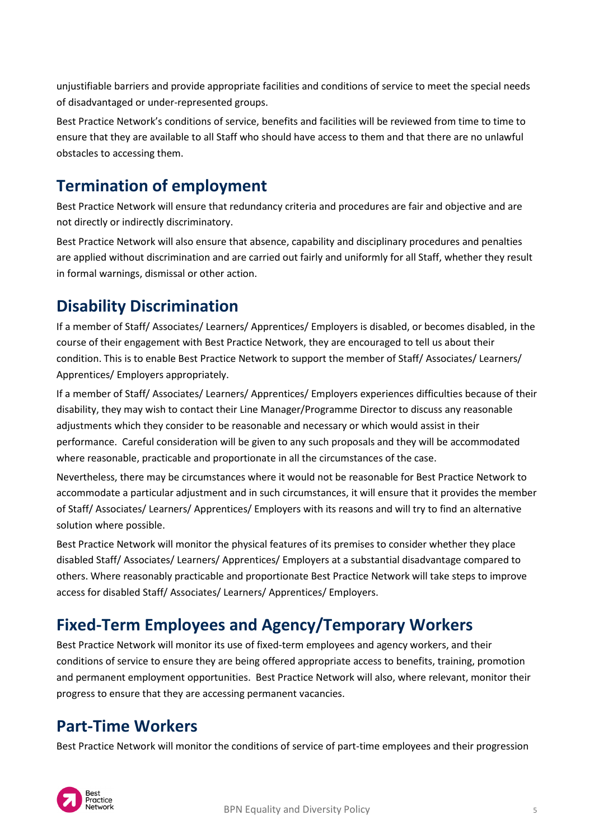unjustifiable barriers and provide appropriate facilities and conditions of service to meet the special needs of disadvantaged or under-represented groups.

Best Practice Network's conditions of service, benefits and facilities will be reviewed from time to time to ensure that they are available to all Staff who should have access to them and that there are no unlawful obstacles to accessing them.

# **Termination of employment**

Best Practice Network will ensure that redundancy criteria and procedures are fair and objective and are not directly or indirectly discriminatory.

Best Practice Network will also ensure that absence, capability and disciplinary procedures and penalties are applied without discrimination and are carried out fairly and uniformly for all Staff, whether they result in formal warnings, dismissal or other action.

## **Disability Discrimination**

If a member of Staff/ Associates/ Learners/ Apprentices/ Employers is disabled, or becomes disabled, in the course of their engagement with Best Practice Network, they are encouraged to tell us about their condition. This is to enable Best Practice Network to support the member of Staff/ Associates/ Learners/ Apprentices/ Employers appropriately.

If a member of Staff/ Associates/ Learners/ Apprentices/ Employers experiences difficulties because of their disability, they may wish to contact their Line Manager/Programme Director to discuss any reasonable adjustments which they consider to be reasonable and necessary or which would assist in their performance. Careful consideration will be given to any such proposals and they will be accommodated where reasonable, practicable and proportionate in all the circumstances of the case.

Nevertheless, there may be circumstances where it would not be reasonable for Best Practice Network to accommodate a particular adjustment and in such circumstances, it will ensure that it provides the member of Staff/ Associates/ Learners/ Apprentices/ Employers with its reasons and will try to find an alternative solution where possible.

Best Practice Network will monitor the physical features of its premises to consider whether they place disabled Staff/ Associates/ Learners/ Apprentices/ Employers at a substantial disadvantage compared to others. Where reasonably practicable and proportionate Best Practice Network will take steps to improve access for disabled Staff/ Associates/ Learners/ Apprentices/ Employers.

# **Fixed-Term Employees and Agency/Temporary Workers**

Best Practice Network will monitor its use of fixed-term employees and agency workers, and their conditions of service to ensure they are being offered appropriate access to benefits, training, promotion and permanent employment opportunities. Best Practice Network will also, where relevant, monitor their progress to ensure that they are accessing permanent vacancies.

#### **Part-Time Workers**

Best Practice Network will monitor the conditions of service of part-time employees and their progression